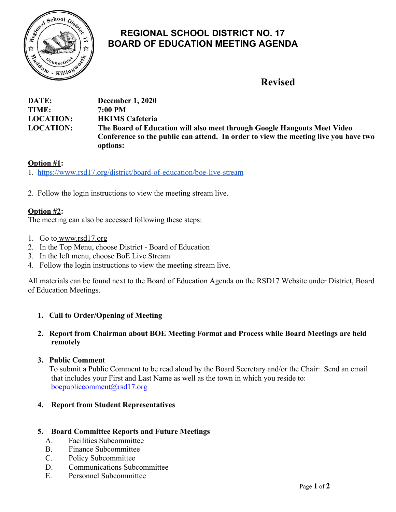

# **REGIONAL SCHOOL DISTRICT NO. 17 BOARD OF EDUCATION MEETING AGENDA**

# **Revised**

| DATE:            | <b>December 1, 2020</b>                                                             |
|------------------|-------------------------------------------------------------------------------------|
| TIME:            | 7:00 PM                                                                             |
| <b>LOCATION:</b> | <b>HKIMS</b> Cafeteria                                                              |
| <b>LOCATION:</b> | The Board of Education will also meet through Google Hangouts Meet Video            |
|                  | Conference so the public can attend. In order to view the meeting live you have two |
|                  | options:                                                                            |

# **Option #1:**

1. <https://www.rsd17.org/district/board-of-education/boe-live-stream>

2. Follow the login instructions to view the meeting stream live.

# **Option #2:**

The meeting can also be accessed following these steps:

- 1. Go t[o www.rsd17.org](http://www.rsd17.org/)
- 2. In the Top Menu, choose District Board of Education
- 3. In the left menu, choose BoE Live Stream
- 4. Follow the login instructions to view the meeting stream live.

All materials can be found next to the Board of Education Agenda on the RSD17 Website under District, Board of Education Meetings.

### **1. Call to Order/Opening of Meeting**

#### **2. Report from Chairman about BOE Meeting Format and Process while Board Meetings are held remotely**

### **3. Public Comment**

 To submit a Public Comment to be read aloud by the Board Secretary and/or the Chair: Send an email that includes your First and Last Name as well as the town in which you reside to: [boepubliccomment@rsd17.org](mailto:boepubliccomment@rsd17.org)

### **4. Report from Student Representatives**

#### **5. Board Committee Reports and Future Meetings**

- A. Facilities Subcommittee
- B. Finance Subcommittee
- C. Policy Subcommittee
- D. Communications Subcommittee
- E. Personnel Subcommittee